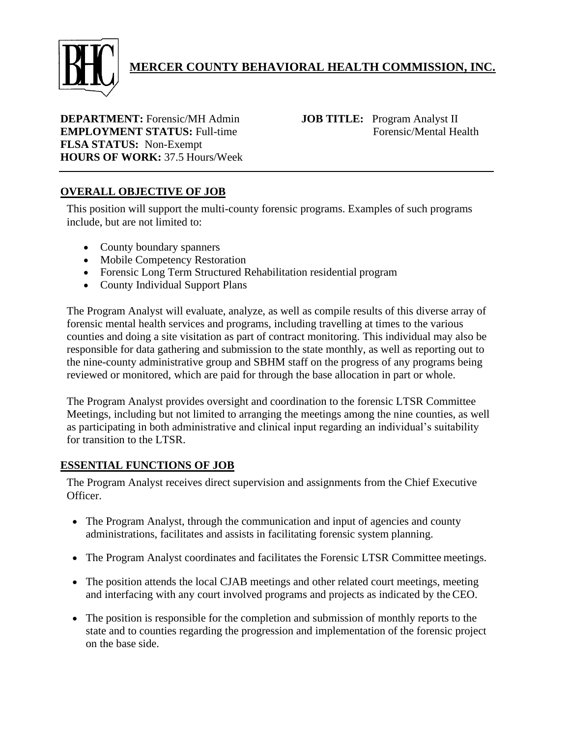

# **MERCER COUNTY BEHAVIORAL HEALTH COMMISSION, INC.**

**DEPARTMENT:** Forensic/MH Admin **JOB TITLE:** Program Analyst II **EMPLOYMENT STATUS:** Full-time Forensic/Mental Health **FLSA STATUS:** Non-Exempt **HOURS OF WORK:** 37.5 Hours/Week

# **OVERALL OBJECTIVE OF JOB**

This position will support the multi-county forensic programs. Examples of such programs include, but are not limited to:

- County boundary spanners
- Mobile Competency Restoration
- Forensic Long Term Structured Rehabilitation residential program
- County Individual Support Plans

The Program Analyst will evaluate, analyze, as well as compile results of this diverse array of forensic mental health services and programs, including travelling at times to the various counties and doing a site visitation as part of contract monitoring. This individual may also be responsible for data gathering and submission to the state monthly, as well as reporting out to the nine-county administrative group and SBHM staff on the progress of any programs being reviewed or monitored, which are paid for through the base allocation in part or whole.

The Program Analyst provides oversight and coordination to the forensic LTSR Committee Meetings, including but not limited to arranging the meetings among the nine counties, as well as participating in both administrative and clinical input regarding an individual's suitability for transition to the LTSR.

#### **ESSENTIAL FUNCTIONS OF JOB**

The Program Analyst receives direct supervision and assignments from the Chief Executive Officer.

- The Program Analyst, through the communication and input of agencies and county administrations, facilitates and assists in facilitating forensic system planning.
- The Program Analyst coordinates and facilitates the Forensic LTSR Committee meetings.
- The position attends the local CJAB meetings and other related court meetings, meeting and interfacing with any court involved programs and projects as indicated by the CEO.
- The position is responsible for the completion and submission of monthly reports to the state and to counties regarding the progression and implementation of the forensic project on the base side.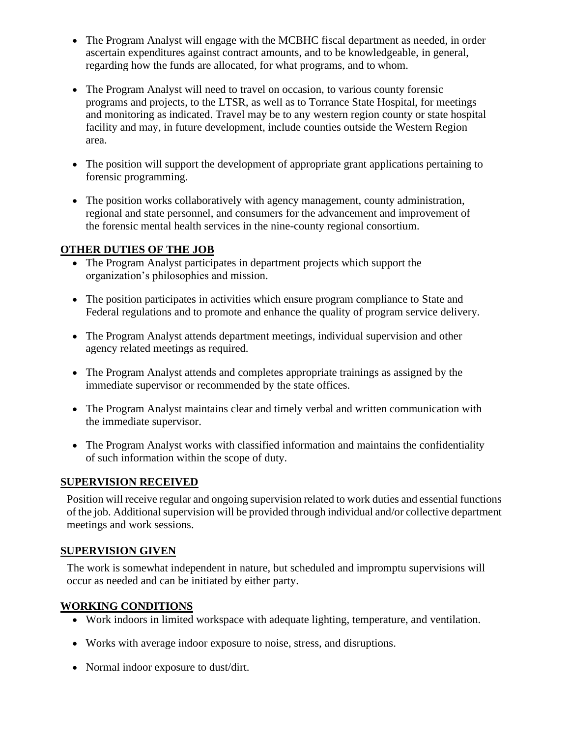- The Program Analyst will engage with the MCBHC fiscal department as needed, in order ascertain expenditures against contract amounts, and to be knowledgeable, in general, regarding how the funds are allocated, for what programs, and to whom.
- The Program Analyst will need to travel on occasion, to various county forensic programs and projects, to the LTSR, as well as to Torrance State Hospital, for meetings and monitoring as indicated. Travel may be to any western region county or state hospital facility and may, in future development, include counties outside the Western Region area.
- The position will support the development of appropriate grant applications pertaining to forensic programming.
- The position works collaboratively with agency management, county administration, regional and state personnel, and consumers for the advancement and improvement of the forensic mental health services in the nine-county regional consortium.

### **OTHER DUTIES OF THE JOB**

- The Program Analyst participates in department projects which support the organization's philosophies and mission.
- The position participates in activities which ensure program compliance to State and Federal regulations and to promote and enhance the quality of program service delivery.
- The Program Analyst attends department meetings, individual supervision and other agency related meetings as required.
- The Program Analyst attends and completes appropriate trainings as assigned by the immediate supervisor or recommended by the state offices.
- The Program Analyst maintains clear and timely verbal and written communication with the immediate supervisor.
- The Program Analyst works with classified information and maintains the confidentiality of such information within the scope of duty.

### **SUPERVISION RECEIVED**

Position will receive regular and ongoing supervision related to work duties and essential functions of the job. Additional supervision will be provided through individual and/or collective department meetings and work sessions.

### **SUPERVISION GIVEN**

The work is somewhat independent in nature, but scheduled and impromptu supervisions will occur as needed and can be initiated by either party.

# **WORKING CONDITIONS**

- Work indoors in limited workspace with adequate lighting, temperature, and ventilation.
- Works with average indoor exposure to noise, stress, and disruptions.
- Normal indoor exposure to dust/dirt.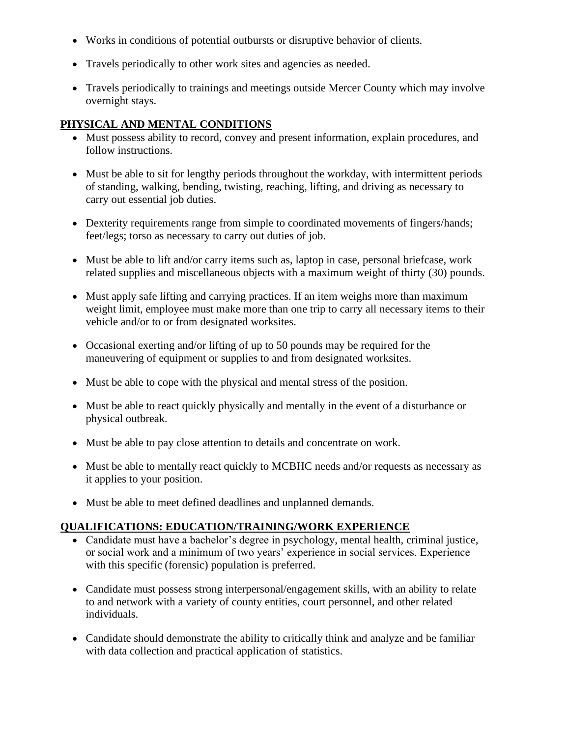- Works in conditions of potential outbursts or disruptive behavior of clients.
- Travels periodically to other work sites and agencies as needed.
- Travels periodically to trainings and meetings outside Mercer County which may involve overnight stays.

### **PHYSICAL AND MENTAL CONDITIONS**

- Must possess ability to record, convey and present information, explain procedures, and follow instructions.
- Must be able to sit for lengthy periods throughout the workday, with intermittent periods of standing, walking, bending, twisting, reaching, lifting, and driving as necessary to carry out essential job duties.
- Dexterity requirements range from simple to coordinated movements of fingers/hands; feet/legs; torso as necessary to carry out duties of job.
- Must be able to lift and/or carry items such as, laptop in case, personal briefcase, work related supplies and miscellaneous objects with a maximum weight of thirty (30) pounds.
- Must apply safe lifting and carrying practices. If an item weighs more than maximum weight limit, employee must make more than one trip to carry all necessary items to their vehicle and/or to or from designated worksites.
- Occasional exerting and/or lifting of up to 50 pounds may be required for the maneuvering of equipment or supplies to and from designated worksites.
- Must be able to cope with the physical and mental stress of the position.
- Must be able to react quickly physically and mentally in the event of a disturbance or physical outbreak.
- Must be able to pay close attention to details and concentrate on work.
- Must be able to mentally react quickly to MCBHC needs and/or requests as necessary as it applies to your position.
- Must be able to meet defined deadlines and unplanned demands.

### **QUALIFICATIONS: EDUCATION/TRAINING/WORK EXPERIENCE**

- Candidate must have a bachelor's degree in psychology, mental health, criminal justice, or social work and a minimum of two years' experience in social services. Experience with this specific (forensic) population is preferred.
- Candidate must possess strong interpersonal/engagement skills, with an ability to relate to and network with a variety of county entities, court personnel, and other related individuals.
- Candidate should demonstrate the ability to critically think and analyze and be familiar with data collection and practical application of statistics.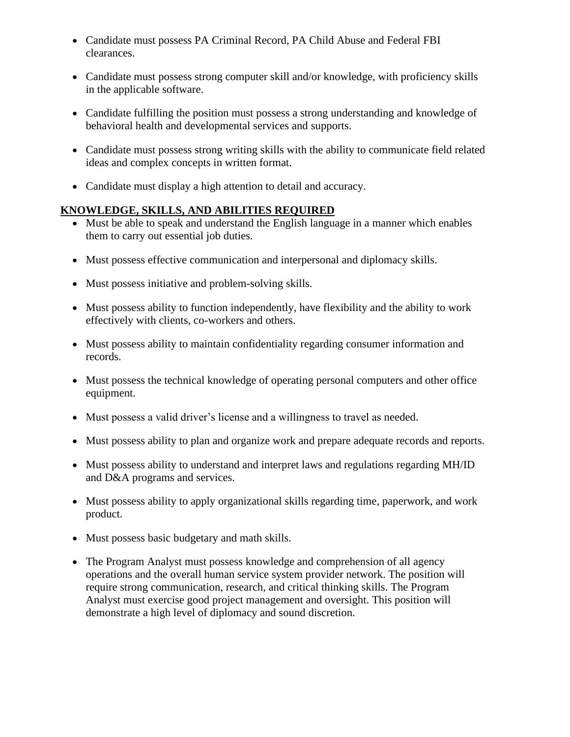- Candidate must possess PA Criminal Record, PA Child Abuse and Federal FBI clearances.
- Candidate must possess strong computer skill and/or knowledge, with proficiency skills in the applicable software.
- Candidate fulfilling the position must possess a strong understanding and knowledge of behavioral health and developmental services and supports.
- Candidate must possess strong writing skills with the ability to communicate field related ideas and complex concepts in written format.
- Candidate must display a high attention to detail and accuracy.

# **KNOWLEDGE, SKILLS, AND ABILITIES REQUIRED**

- Must be able to speak and understand the English language in a manner which enables them to carry out essential job duties.
- Must possess effective communication and interpersonal and diplomacy skills.
- Must possess initiative and problem-solving skills.
- Must possess ability to function independently, have flexibility and the ability to work effectively with clients, co-workers and others.
- Must possess ability to maintain confidentiality regarding consumer information and records.
- Must possess the technical knowledge of operating personal computers and other office equipment.
- Must possess a valid driver's license and a willingness to travel as needed.
- Must possess ability to plan and organize work and prepare adequate records and reports.
- Must possess ability to understand and interpret laws and regulations regarding MH/ID and D&A programs and services.
- Must possess ability to apply organizational skills regarding time, paperwork, and work product.
- Must possess basic budgetary and math skills.
- The Program Analyst must possess knowledge and comprehension of all agency operations and the overall human service system provider network. The position will require strong communication, research, and critical thinking skills. The Program Analyst must exercise good project management and oversight. This position will demonstrate a high level of diplomacy and sound discretion.